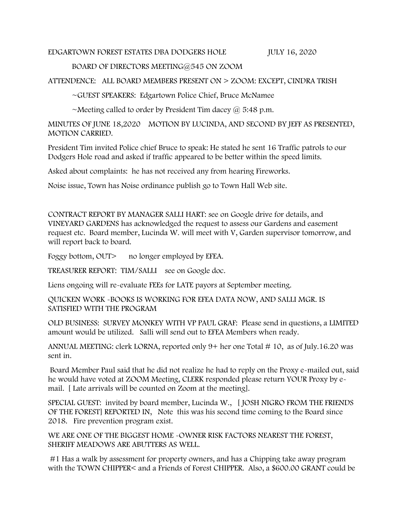## EDGARTOWN FOREST ESTATES DBA DODGERS HOLE **JULY 16, 2020**

## BOARD OF DIRECTORS MEETING@545 ON ZOOM

ATTENDENCE: ALL BOARD MEMBERS PRESENT ON > ZOOM: EXCEPT, CINDRA TRISH

~GUEST SPEAKERS: Edgartown Police Chief, Bruce McNamee

~Meeting called to order by President Tim dacey  $\omega$  5:48 p.m.

MINUTES OF JUNE 18,2020 MOTION BY LUCINDA, AND SECOND BY JEFF AS PRESENTED, MOTION CARRIED.

President Tim invited Police chief Bruce to speak: He stated he sent 16 Traffic patrols to our Dodgers Hole road and asked if traffic appeared to be better within the speed limits.

Asked about complaints: he has not received any from hearing Fireworks.

Noise issue, Town has Noise ordinance publish go to Town Hall Web site.

CONTRACT REPORT BY MANAGER SALLI HART: see on Google drive for details, and VINEYARD GARDENS has acknowledged the request to assess our Gardens and easement request etc. Board member, Lucinda W. will meet with V, Garden supervisor tomorrow, and will report back to board.

Foggy bottom, OUT> no longer employed by EFEA.

TREASURER REPORT: TIM/SALLI see on Google doc.

Liens ongoing will re-evaluate FEEs for LATE payors at September meeting.

QUICKEN WORK -BOOKS IS WORKING FOR EFEA DATA NOW, AND SALLI MGR. IS SATISFIED WITH THE PROGRAM

OLD BUSINESS: SURVEY MONKEY WITH VP PAUL GRAF: Please send in questions, a LIMITED amount would be utilized. Salli will send out to EFEA Members when ready.

ANNUAL MEETING: clerk LORNA, reported only 9+ her one Total # 10, as of July.16.20 was sent in.

Board Member Paul said that he did not realize he had to reply on the Proxy e-mailed out, said he would have voted at ZOOM Meeting, CLERK responded please return YOUR Proxy by email. [ Late arrivals will be counted on Zoom at the meeting].

SPECIAL GUEST: invited by board member, Lucinda W., [ JOSH NIGRO FROM THE FRIENDS OF THE FOREST] REPORTED IN, Note this was his second time coming to the Board since 2018. Fire prevention program exist.

WE ARE ONE OF THE BIGGEST HOME -OWNER RISK FACTORS NEAREST THE FOREST, SHERIFF MEADOWS ARE ABUTTERS AS WELL.

#1 Has a walk by assessment for property owners, and has a Chipping take away program with the TOWN CHIPPER< and a Friends of Forest CHIPPER. Also, a \$600.00 GRANT could be